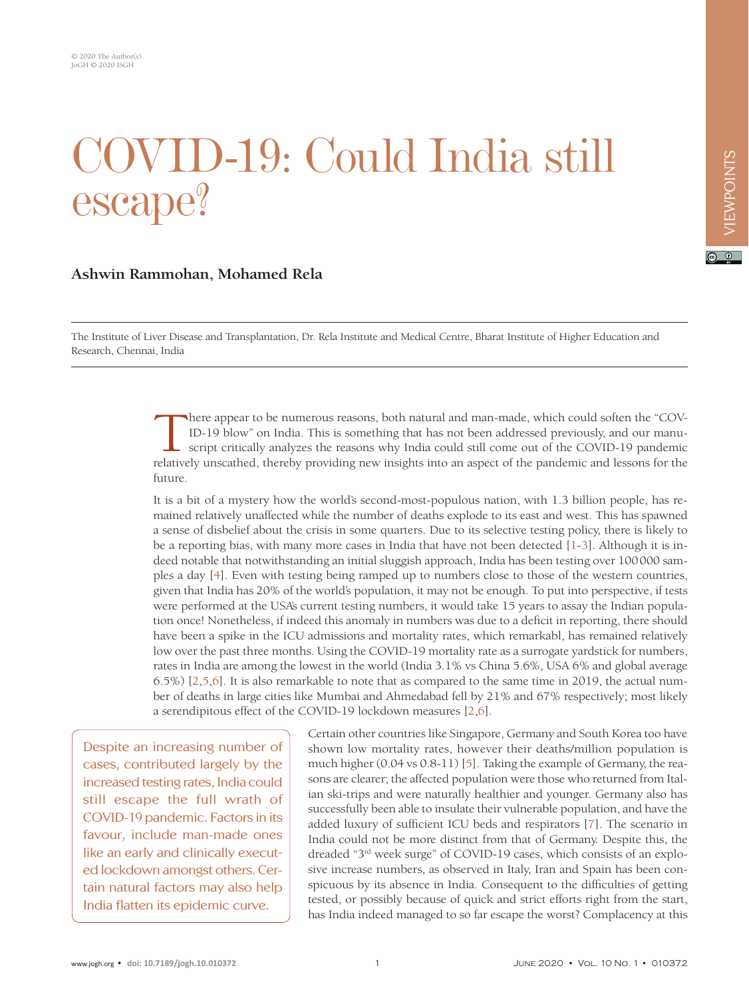## COVID-19: Could India still escape?

## **Ashwin Rammohan, Mohamed Rela**

The Institute of Liver Disease and Transplantation, Dr. Rela Institute and Medical Centre, Bharat Institute of Higher Education and Research, Chennai, India

> There appear to be numerous reasons, both natural and man-made, which could soften the "COV-ID-19 blow" on India. This is something that has not been addressed previously, and our manuscript critically analyzes the reasons why India could still come out of the COVID-19 pandemic relatively unscathed, thereby providing new insights into an aspect of the pandemic and lessons for the future.

> It is a bit of a mystery how the world's second-most-populous nation, with 1.3 billion people, has remained relatively unaffected while the number of deaths explode to its east and west. This has spawned a sense of disbelief about the crisis in some quarters. Due to its selective testing policy, there is likely to be a reporting bias, with many more cases in India that have not been detected [[1](#page-2-0)[-3\]](#page-2-1). Although it is indeed notable that notwithstanding an initial sluggish approach, India has been testing over 100000 samples a day [[4](#page-2-2)]. Even with testing being ramped up to numbers close to those of the western countries, given that India has 20% of the world's population, it may not be enough. To put into perspective, if tests were performed at the USA's current testing numbers, it would take 15 years to assay the Indian population once! Nonetheless, if indeed this anomaly in numbers was due to a deficit in reporting, there should have been a spike in the ICU admissions and mortality rates, which remarkabl, has remained relatively low over the past three months. Using the COVID-19 mortality rate as a surrogate yardstick for numbers, rates in India are among the lowest in the world (India 3.1% vs China 5.6%, USA 6% and global average 6.5%) [\[2](#page-2-3),[5](#page-2-4),[6](#page-2-5)]. It is also remarkable to note that as compared to the same time in 2019, the actual number of deaths in large cities like Mumbai and Ahmedabad fell by 21% and 67% respectively; most likely a serendipitous effect of the COVID-19 lockdown measures [\[2,](#page-2-3)[6\]](#page-2-5).

Despite an increasing number of cases, contributed largely by the increased testing rates, India could still escape the full wrath of COVID-19 pandemic. Factors in its favour, include man-made ones like an early and clinically executed lockdown amongst others. Certain natural factors may also help India flatten its epidemic curve.

Certain other countries like Singapore, Germany and South Korea too have shown low mortality rates, however their deaths/million population is much higher (0.04 vs 0.8-11) [\[5\]](#page-2-4). Taking the example of Germany, the reasons are clearer; the affected population were those who returned from Italian ski-trips and were naturally healthier and younger. Germany also has successfully been able to insulate their vulnerable population, and have the added luxury of sufficient ICU beds and respirators [[7](#page-2-6)]. The scenario in India could not be more distinct from that of Germany. Despite this, the dreaded "3rd week surge" of COVID-19 cases, which consists of an explosive increase numbers, as observed in Italy, Iran and Spain has been conspicuous by its absence in India. Consequent to the difficulties of getting tested, or possibly because of quick and strict efforts right from the start, has India indeed managed to so far escape the worst? Complacency at this

 $\boxed{6}$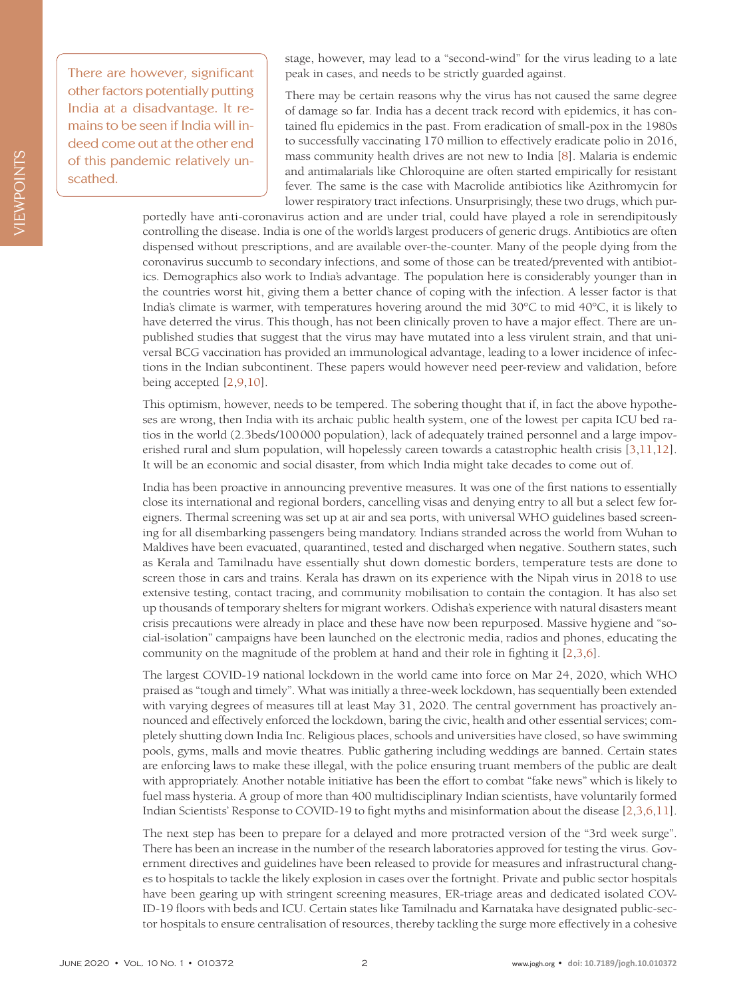VIEWPOINTS VIEWPOINTS

There are however, significant other factors potentially putting India at a disadvantage. It remains to be seen if India will indeed come out at the other end of this pandemic relatively unscathed.

stage, however, may lead to a "second-wind" for the virus leading to a late peak in cases, and needs to be strictly guarded against.

There may be certain reasons why the virus has not caused the same degree of damage so far. India has a decent track record with epidemics, it has contained flu epidemics in the past. From eradication of small-pox in the 1980s to successfully vaccinating 170 million to effectively eradicate polio in 2016, mass community health drives are not new to India [[8\]](#page-3-0). Malaria is endemic and antimalarials like Chloroquine are often started empirically for resistant fever. The same is the case with Macrolide antibiotics like Azithromycin for lower respiratory tract infections. Unsurprisingly, these two drugs, which pur-

portedly have anti-coronavirus action and are under trial, could have played a role in serendipitously controlling the disease. India is one of the world's largest producers of generic drugs. Antibiotics are often dispensed without prescriptions, and are available over-the-counter. Many of the people dying from the coronavirus succumb to secondary infections, and some of those can be treated/prevented with antibiotics. Demographics also work to India's advantage. The population here is considerably younger than in the countries worst hit, giving them a better chance of coping with the infection. A lesser factor is that India's climate is warmer, with temperatures hovering around the mid 30°C to mid 40°C, it is likely to have deterred the virus. This though, has not been clinically proven to have a major effect. There are unpublished studies that suggest that the virus may have mutated into a less virulent strain, and that universal BCG vaccination has provided an immunological advantage, leading to a lower incidence of infections in the Indian subcontinent. These papers would however need peer-review and validation, before being accepted [[2,](#page-2-3)[9](#page-3-1)[,10](#page-3-2)].

This optimism, however, needs to be tempered. The sobering thought that if, in fact the above hypotheses are wrong, then India with its archaic public health system, one of the lowest per capita ICU bed ratios in the world (2.3beds/100000 population), lack of adequately trained personnel and a large impoverished rural and slum population, will hopelessly careen towards a catastrophic health crisis [[3](#page-2-1)[,11](#page-3-3),[12](#page-3-4)]. It will be an economic and social disaster, from which India might take decades to come out of.

India has been proactive in announcing preventive measures. It was one of the first nations to essentially close its international and regional borders, cancelling visas and denying entry to all but a select few foreigners. Thermal screening was set up at air and sea ports, with universal WHO guidelines based screening for all disembarking passengers being mandatory. Indians stranded across the world from Wuhan to Maldives have been evacuated, quarantined, tested and discharged when negative. Southern states, such as Kerala and Tamilnadu have essentially shut down domestic borders, temperature tests are done to screen those in cars and trains. Kerala has drawn on its experience with the Nipah virus in 2018 to use extensive testing, contact tracing, and community mobilisation to contain the contagion. It has also set up thousands of temporary shelters for migrant workers. Odisha's experience with natural disasters meant crisis precautions were already in place and these have now been repurposed. Massive hygiene and "social-isolation" campaigns have been launched on the electronic media, radios and phones, educating the community on the magnitude of the problem at hand and their role in fighting it [[2](#page-2-3)[,3](#page-2-1)[,6\]](#page-2-5).

The largest COVID-19 national lockdown in the world came into force on Mar 24, 2020, which WHO praised as "tough and timely". What was initially a three-week lockdown, has sequentially been extended with varying degrees of measures till at least May 31, 2020. The central government has proactively announced and effectively enforced the lockdown, baring the civic, health and other essential services; completely shutting down India Inc. Religious places, schools and universities have closed, so have swimming pools, gyms, malls and movie theatres. Public gathering including weddings are banned. Certain states are enforcing laws to make these illegal, with the police ensuring truant members of the public are dealt with appropriately. Another notable initiative has been the effort to combat "fake news" which is likely to fuel mass hysteria. A group of more than 400 multidisciplinary Indian scientists, have voluntarily formed Indian Scientists' Response to COVID-19 to fight myths and misinformation about the disease [[2](#page-2-3),[3](#page-2-1),[6](#page-2-5),[11](#page-3-3)].

The next step has been to prepare for a delayed and more protracted version of the "3rd week surge". There has been an increase in the number of the research laboratories approved for testing the virus. Government directives and guidelines have been released to provide for measures and infrastructural changes to hospitals to tackle the likely explosion in cases over the fortnight. Private and public sector hospitals have been gearing up with stringent screening measures, ER-triage areas and dedicated isolated COV-ID-19 floors with beds and ICU. Certain states like Tamilnadu and Karnataka have designated public-sector hospitals to ensure centralisation of resources, thereby tackling the surge more effectively in a cohesive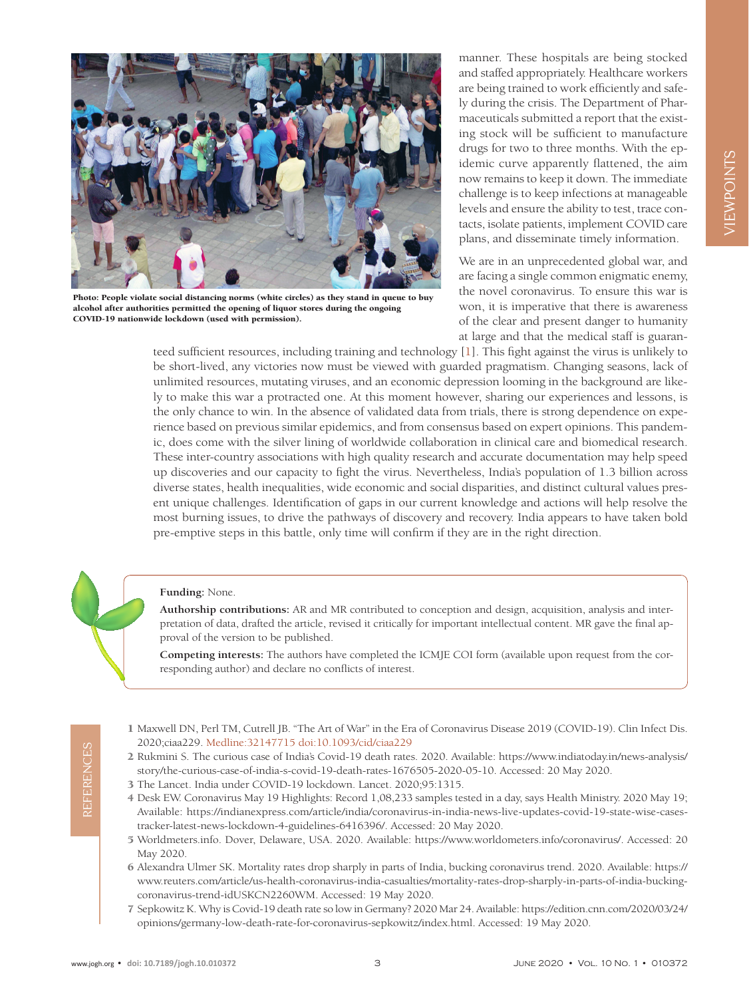

Photo: People violate social distancing norms (white circles) as they stand in queue to buy alcohol after authorities permitted the opening of liquor stores during the ongoing COVID-19 nationwide lockdown (used with permission).

manner. These hospitals are being stocked and staffed appropriately. Healthcare workers are being trained to work efficiently and safely during the crisis. The Department of Pharmaceuticals submitted a report that the existing stock will be sufficient to manufacture drugs for two to three months. With the epidemic curve apparently flattened, the aim now remains to keep it down. The immediate challenge is to keep infections at manageable levels and ensure the ability to test, trace contacts, isolate patients, implement COVID care plans, and disseminate timely information.

We are in an unprecedented global war, and are facing a single common enigmatic enemy, the novel coronavirus. To ensure this war is won, it is imperative that there is awareness of the clear and present danger to humanity at large and that the medical staff is guaran-

teed sufficient resources, including training and technology [[1](#page-2-0)]. This fight against the virus is unlikely to be short-lived, any victories now must be viewed with guarded pragmatism. Changing seasons, lack of unlimited resources, mutating viruses, and an economic depression looming in the background are likely to make this war a protracted one. At this moment however, sharing our experiences and lessons, is the only chance to win. In the absence of validated data from trials, there is strong dependence on experience based on previous similar epidemics, and from consensus based on expert opinions. This pandemic, does come with the silver lining of worldwide collaboration in clinical care and biomedical research. These inter-country associations with high quality research and accurate documentation may help speed up discoveries and our capacity to fight the virus. Nevertheless, India's population of 1.3 billion across diverse states, health inequalities, wide economic and social disparities, and distinct cultural values present unique challenges. Identification of gaps in our current knowledge and actions will help resolve the most burning issues, to drive the pathways of discovery and recovery. India appears to have taken bold pre-emptive steps in this battle, only time will confirm if they are in the right direction.

## **Funding:** None.

**Authorship contributions:** AR and MR contributed to conception and design, acquisition, analysis and interpretation of data, drafted the article, revised it critically for important intellectual content. MR gave the final approval of the version to be published.

**Competing interests:** The authors have completed the ICMJE COI form (available upon request from the corresponding author) and declare no conflicts of interest.

- <span id="page-2-0"></span> 1 Maxwell DN, Perl TM, Cutrell JB. "The Art of War" in the Era of Coronavirus Disease 2019 (COVID-19). Clin Infect Dis. 2020;ciaa229. [Medline:32147715](https://www.ncbi.nlm.nih.gov/entrez/query.fcgi?cmd=Retrieve&db=PubMed&list_uids=32147715&dopt=Abstract) [doi:10.1093/cid/ciaa229](https://doi.org/10.1093/cid/ciaa229)
- <span id="page-2-3"></span> 2 Rukmini S. The curious case of India's Covid-19 death rates. 2020. Available: [https://www.indiatoday.in/news-analysis/](https://www.indiatoday.in/news-analysis/story/the-curious-case-of-india-s-covid-19-death-rates-1676505-2020-05-10) [story/the-curious-case-of-india-s-covid-19-death-rates-1676505-2020-05-10.](https://www.indiatoday.in/news-analysis/story/the-curious-case-of-india-s-covid-19-death-rates-1676505-2020-05-10) Accessed: 20 May 2020.
- <span id="page-2-1"></span>3 The Lancet. India under COVID-19 lockdown. Lancet. 2020;95:1315.
- <span id="page-2-2"></span> 4 Desk EW. Coronavirus May 19 Highlights: Record 1,08,233 samples tested in a day, says Health Ministry. 2020 May 19; Available: [https://indianexpress.com/article/india/coronavirus-in-india-news-live-updates-covid-19-state-wise-cases](https://indianexpress.com/article/india/coronavirus-in-india-news-live-updates-covid-19-state-wise-cases-tracker-latest-news-lockdown-4-guidelines-6416396/)[tracker-latest-news-lockdown-4-guidelines-6416396/](https://indianexpress.com/article/india/coronavirus-in-india-news-live-updates-covid-19-state-wise-cases-tracker-latest-news-lockdown-4-guidelines-6416396/). Accessed: 20 May 2020.
- <span id="page-2-4"></span> 5 Worldmeters.info. Dover, Delaware, USA. 2020. Available: [https://www.worldometers.info/coronavirus/.](https://www.worldometers.info/coronavirus/) Accessed: 20 May 2020.
- <span id="page-2-5"></span> 6 Alexandra Ulmer SK. Mortality rates drop sharply in parts of India, bucking coronavirus trend. 2020. Available: [https://](https://www.reuters.com/article/us-health-coronavirus-india-casualties/mortality-rates-drop-sharply-in-parts-of-india-bucking-coronavirus-trend-idUSKCN2260WM) [www.reuters.com/article/us-health-coronavirus-india-casualties/mortality-rates-drop-sharply-in-parts-of-india-bucking](https://www.reuters.com/article/us-health-coronavirus-india-casualties/mortality-rates-drop-sharply-in-parts-of-india-bucking-coronavirus-trend-idUSKCN2260WM)[coronavirus-trend-idUSKCN2260WM.](https://www.reuters.com/article/us-health-coronavirus-india-casualties/mortality-rates-drop-sharply-in-parts-of-india-bucking-coronavirus-trend-idUSKCN2260WM) Accessed: 19 May 2020.
- <span id="page-2-6"></span> 7 SepkowitzK. Why is Covid-19 death rate so low in Germany? 2020 Mar 24. Available: [https://edition.cnn.com/2020/03/24/](https://edition.cnn.com/2020/03/24/opinions/germany-low-death-rate-for-coronavirus-sepkowitz/index.html) [opinions/germany-low-death-rate-for-coronavirus-sepkowitz/index.html.](https://edition.cnn.com/2020/03/24/opinions/germany-low-death-rate-for-coronavirus-sepkowitz/index.html) Accessed: 19 May 2020.